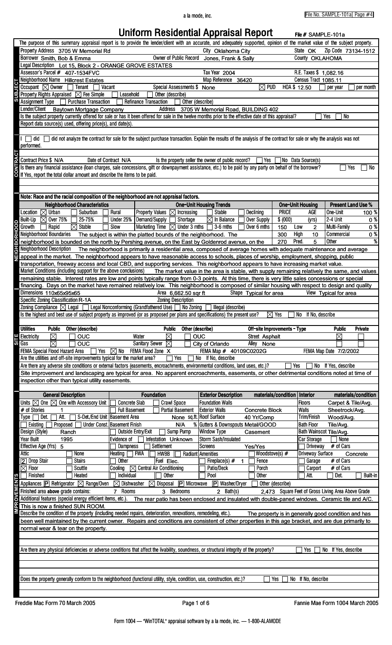File No. SAMPLE-101a Page #4

| a la mode, inc. |  |
|-----------------|--|
|-----------------|--|

| Uniform Residential Appraisal Report                                                                                     | File # SAMPLE-101a |
|--------------------------------------------------------------------------------------------------------------------------|--------------------|
| ort is to provide the lender/client with an accurate, and adequately supported, opinion of the market value of the subje |                    |

| The purpose of this summary appraisal report is to provide the lender/client with an accurate, and adequately supported, opinion of the market value of the subject property. |                                                                                                                                                                      |                                                                                                 |                                                                                                                                                                        |                                 |  |  |  |
|-------------------------------------------------------------------------------------------------------------------------------------------------------------------------------|----------------------------------------------------------------------------------------------------------------------------------------------------------------------|-------------------------------------------------------------------------------------------------|------------------------------------------------------------------------------------------------------------------------------------------------------------------------|---------------------------------|--|--|--|
| Property Address 3705 W Memorial Rd                                                                                                                                           |                                                                                                                                                                      | City Oklahoma City                                                                              | State OK                                                                                                                                                               | Zip Code 73134-1512             |  |  |  |
| Borrower Smith, Bob & Emma                                                                                                                                                    | Owner of Public Record                                                                                                                                               | Jones, Frank & Sally                                                                            | County OKLAHOMA                                                                                                                                                        |                                 |  |  |  |
| Legal Description Lot 15, Block 2 - ORANGE GROVE ESTATES                                                                                                                      |                                                                                                                                                                      |                                                                                                 |                                                                                                                                                                        |                                 |  |  |  |
| Assessor's Parcel # 407-1534FVC                                                                                                                                               |                                                                                                                                                                      | Tax Year 2004                                                                                   | R.E. Taxes \$ 1,082.16                                                                                                                                                 |                                 |  |  |  |
| Neighborhood Name Hillcrest Estates                                                                                                                                           |                                                                                                                                                                      | Map Reference 36420                                                                             | Census Tract 1085.11                                                                                                                                                   |                                 |  |  |  |
| Occupant $\boxtimes$ Owner<br>Tenant<br>Vacant                                                                                                                                | Special Assessments \$ None                                                                                                                                          | ⊠<br>pud                                                                                        | HOA \$12.50                                                                                                                                                            | per month<br>per year           |  |  |  |
|                                                                                                                                                                               |                                                                                                                                                                      |                                                                                                 |                                                                                                                                                                        |                                 |  |  |  |
|                                                                                                                                                                               | Property Rights Appraised $\boxtimes$ Fee Simple<br>Leasehold<br>Other (describe)                                                                                    |                                                                                                 |                                                                                                                                                                        |                                 |  |  |  |
| <b>Purchase Transaction</b><br><b>Assignment Type</b>                                                                                                                         | <b>Refinance Transaction</b><br>Other (describe)                                                                                                                     |                                                                                                 |                                                                                                                                                                        |                                 |  |  |  |
| Lender/Client<br><b>Baytown Mortgage Company</b>                                                                                                                              | Address                                                                                                                                                              | 3705 W Memorial Road, BUILDING 402                                                              |                                                                                                                                                                        |                                 |  |  |  |
|                                                                                                                                                                               | Is the subject property currently offered for sale or has it been offered for sale in the twelve months prior to the effective date of this appraisal?               |                                                                                                 |                                                                                                                                                                        | No<br>Yes                       |  |  |  |
| Report data source(s) used, offering price(s), and date(s).                                                                                                                   |                                                                                                                                                                      |                                                                                                 |                                                                                                                                                                        |                                 |  |  |  |
|                                                                                                                                                                               |                                                                                                                                                                      |                                                                                                 |                                                                                                                                                                        |                                 |  |  |  |
| did                                                                                                                                                                           | did not analyze the contract for sale for the subject purchase transaction. Explain the results of the analysis of the contract for sale or why the analysis was not |                                                                                                 |                                                                                                                                                                        |                                 |  |  |  |
| performed.                                                                                                                                                                    |                                                                                                                                                                      |                                                                                                 |                                                                                                                                                                        |                                 |  |  |  |
| 5                                                                                                                                                                             |                                                                                                                                                                      |                                                                                                 |                                                                                                                                                                        |                                 |  |  |  |
| Contract Price \$ N/A                                                                                                                                                         | Date of Contract N/A                                                                                                                                                 | Is the property seller the owner of public record?<br>  Yes                                     | No Data Source(s)                                                                                                                                                      |                                 |  |  |  |
|                                                                                                                                                                               | Is there any financial assistance (loan charges, sale concessions, gift or downpayment assistance, etc.) to be paid by any party on behalf of the borrower?          |                                                                                                 |                                                                                                                                                                        | Yes<br>No                       |  |  |  |
| If Yes, report the total dollar amount and describe the items to be paid.<br>й                                                                                                |                                                                                                                                                                      |                                                                                                 |                                                                                                                                                                        |                                 |  |  |  |
|                                                                                                                                                                               |                                                                                                                                                                      |                                                                                                 |                                                                                                                                                                        |                                 |  |  |  |
|                                                                                                                                                                               |                                                                                                                                                                      |                                                                                                 |                                                                                                                                                                        |                                 |  |  |  |
|                                                                                                                                                                               |                                                                                                                                                                      |                                                                                                 |                                                                                                                                                                        |                                 |  |  |  |
|                                                                                                                                                                               | Note: Race and the racial composition of the neighborhood are not appraisal factors.                                                                                 |                                                                                                 |                                                                                                                                                                        |                                 |  |  |  |
| <b>Neighborhood Characteristics</b>                                                                                                                                           |                                                                                                                                                                      | <b>One-Unit Housing Trends</b>                                                                  | <b>One-Unit Housing</b>                                                                                                                                                | <b>Present Land Use %</b>       |  |  |  |
| Location $\boxtimes$ Urban<br>Suburban                                                                                                                                        | Property Values $\boxtimes$ Increasing<br>Rural                                                                                                                      | Stable<br>Declining                                                                             | <b>PRICE</b><br>AGE                                                                                                                                                    | One-Unit<br>100 %               |  |  |  |
| $\boxtimes$ Over 75%<br>25-75%<br><b>Built-Up</b>                                                                                                                             | Under 25% Demand/Supply<br>Shortage                                                                                                                                  | $\boxtimes$ In Balance<br>Over Supply                                                           | \$ (000)<br>(yrs)                                                                                                                                                      | 2-4 Unit<br>0%                  |  |  |  |
| Rapid<br>$\boxtimes$ Stable<br>Growth                                                                                                                                         | Slow<br>Marketing Time $\boxtimes$ Under 3 mths                                                                                                                      | Over 6 mths<br>3-6 mths                                                                         | Low<br>150<br>$\overline{2}$                                                                                                                                           | Multi-Family<br>0%              |  |  |  |
| <b>Neighborhood Boundaries</b>                                                                                                                                                | The subject is within the platted bounds of the neighborhood. The                                                                                                    |                                                                                                 | High<br>10<br>300                                                                                                                                                      | 0%<br>Commercial                |  |  |  |
|                                                                                                                                                                               |                                                                                                                                                                      |                                                                                                 | 270<br>Pred.<br>5                                                                                                                                                      | Other                           |  |  |  |
|                                                                                                                                                                               | neighborhood is bounded on the north by Pershing avenue, on the East by Goldenrod avenue, on the                                                                     |                                                                                                 |                                                                                                                                                                        |                                 |  |  |  |
| <b>Neighborhood Description</b>                                                                                                                                               | The neighborhood is primarily a residential area, composed of average homes with adequate maintenance and average                                                    |                                                                                                 |                                                                                                                                                                        |                                 |  |  |  |
|                                                                                                                                                                               | appeal in the market. The neighborhood appears to have reasonable access to schools, places of worship, employment, shopping, public                                 |                                                                                                 |                                                                                                                                                                        |                                 |  |  |  |
|                                                                                                                                                                               | transportation, freeway access and local CBD, and supporting services. This neighborhood appears to have increasing market value.                                    |                                                                                                 |                                                                                                                                                                        |                                 |  |  |  |
| Market Conditions (including support for the above conclusions)                                                                                                               |                                                                                                                                                                      | The market value in the area is stable, with supply remaining relatively the same, and values   |                                                                                                                                                                        |                                 |  |  |  |
|                                                                                                                                                                               | remaining stable. Interest rates are low and points typically range from 0-3 points. At this time, there is very little sales concessions or special                 |                                                                                                 |                                                                                                                                                                        |                                 |  |  |  |
|                                                                                                                                                                               | financing. Days on the market have remained relatively low. This neighborhood is composed of similar housing with respect to design and quality                      |                                                                                                 |                                                                                                                                                                        |                                 |  |  |  |
| Dimensions 110x65x95x65                                                                                                                                                       | Area 6,662.50 sqr ft                                                                                                                                                 | Shape Typical for area                                                                          |                                                                                                                                                                        | View Typical for area           |  |  |  |
| Specific Zoning Classification R-1A                                                                                                                                           | <b>Zoning Description</b>                                                                                                                                            |                                                                                                 |                                                                                                                                                                        |                                 |  |  |  |
| Zoning Compliance $\boxtimes$ Legal<br>$\mathcal{L}$                                                                                                                          | Legal Nonconforming (Grandfathered Use) No Zoning                                                                                                                    | Illegal (describe)                                                                              |                                                                                                                                                                        |                                 |  |  |  |
|                                                                                                                                                                               |                                                                                                                                                                      |                                                                                                 |                                                                                                                                                                        |                                 |  |  |  |
|                                                                                                                                                                               |                                                                                                                                                                      |                                                                                                 | $\boxtimes$ Yes<br>If No, describe<br>Is the highest and best use of subject property as improved (or as proposed per plans and specifications) the present use?<br>No |                                 |  |  |  |
|                                                                                                                                                                               |                                                                                                                                                                      |                                                                                                 |                                                                                                                                                                        |                                 |  |  |  |
|                                                                                                                                                                               |                                                                                                                                                                      |                                                                                                 |                                                                                                                                                                        |                                 |  |  |  |
| <b>Utilities</b><br><b>Public</b><br>Other (describe)                                                                                                                         | <b>Public</b><br>Other (describe)                                                                                                                                    |                                                                                                 | Off-site Improvements - Type                                                                                                                                           | <b>Public</b><br><b>Private</b> |  |  |  |
| $\boxtimes$<br>Electricity<br><b>OUC</b>                                                                                                                                      | ⊠<br>Water<br><b>OUC</b>                                                                                                                                             | Street Asphalt                                                                                  |                                                                                                                                                                        | $\boxtimes$                     |  |  |  |
| $\boxtimes$<br>ŋ,<br>Gas<br><b>OUC</b>                                                                                                                                        | $\boxtimes$<br><b>Sanitary Sewer</b>                                                                                                                                 | City of Orlando<br>Alley<br>None                                                                |                                                                                                                                                                        |                                 |  |  |  |
| Yes<br>FEMA Special Flood Hazard Area                                                                                                                                         | $\overline{\boxtimes}$ No<br>FEMA Flood Zone X                                                                                                                       | FEMA Map # 40109C0202G                                                                          |                                                                                                                                                                        | FEMA Map Date 7/2/2002          |  |  |  |
| Are the utilities and off-site improvements typical for the market area?                                                                                                      | Yes                                                                                                                                                                  | No If No, describe                                                                              |                                                                                                                                                                        |                                 |  |  |  |
|                                                                                                                                                                               | Are there any adverse site conditions or external factors (easements, encroachments, environmental conditions, land uses, etc.)?                                     |                                                                                                 | Yes<br>No                                                                                                                                                              | If Yes, describe                |  |  |  |
|                                                                                                                                                                               | Site improvement and landscaping are typical for area. No apparent encroachments, easements, or other detrimental conditions noted at time of                        |                                                                                                 |                                                                                                                                                                        |                                 |  |  |  |
| inspection other than typical utility easements.                                                                                                                              |                                                                                                                                                                      |                                                                                                 |                                                                                                                                                                        |                                 |  |  |  |
|                                                                                                                                                                               |                                                                                                                                                                      |                                                                                                 |                                                                                                                                                                        |                                 |  |  |  |
|                                                                                                                                                                               |                                                                                                                                                                      |                                                                                                 |                                                                                                                                                                        |                                 |  |  |  |
| <b>General Description</b>                                                                                                                                                    | <b>Foundation</b>                                                                                                                                                    | <b>Exterior Description</b>                                                                     | materials/condition   Interior                                                                                                                                         | materials/condition             |  |  |  |
| Units $\boxtimes$ One $\boxtimes$ One with Accessory Unit                                                                                                                     | <b>Crawl Space</b><br><b>Concrete Slab</b>                                                                                                                           | <b>Foundation Walls</b>                                                                         | <b>Floors</b>                                                                                                                                                          | Carpet & Tile/Avg.              |  |  |  |
| # of Stories<br>1                                                                                                                                                             | <b>Full Basement</b><br><b>Partial Basement</b>                                                                                                                      | <b>Exterior Walls</b><br><b>Concrete Block</b>                                                  | <b>Walls</b>                                                                                                                                                           | Sheetrock/Avg.                  |  |  |  |
| Att.<br>S-Det./End Unit   Basement Area<br>Type<br>Det.                                                                                                                       | None sq.ft. Roof Surface                                                                                                                                             | 40 Yr/Comp                                                                                      | Trim/Finish                                                                                                                                                            | Wood/Avg.                       |  |  |  |
| Existing<br>Proposed                                                                                                                                                          | Under Const. Basement Finish<br>N/A                                                                                                                                  | % Gutters & Downspouts Metal/GOOD                                                               | <b>Bath Floor</b>                                                                                                                                                      | Tile/Avg.                       |  |  |  |
| Design (Style)<br>Ranch                                                                                                                                                       | Outside Entry/Exit<br>Sump Pump                                                                                                                                      | <b>Window Type</b><br>Casement                                                                  | Bath Wainscot Tile/Avg.                                                                                                                                                |                                 |  |  |  |
| Year Built<br>1995                                                                                                                                                            | Infestation Unknown<br>Evidence of                                                                                                                                   | Storm Sash/Insulated                                                                            | <b>Car Storage</b>                                                                                                                                                     | None                            |  |  |  |
| Effective Age (Yrs) 5                                                                                                                                                         | Settlement<br>Dampness                                                                                                                                               | Screens<br>Yes/Yes                                                                              | Driveway                                                                                                                                                               | # of Cars                       |  |  |  |
| Attic<br>None                                                                                                                                                                 | FWA<br><b>HWBB</b><br>Heating<br>Radiant Amenities                                                                                                                   | Woodstove(s) $#$                                                                                | <b>Driveway Surface</b>                                                                                                                                                | Concrete                        |  |  |  |
| 2 Drop Stair<br><b>Stairs</b>                                                                                                                                                 | Other<br>Fuel Elec.                                                                                                                                                  | Fireplace(s) $#$<br>1<br>Fence                                                                  | Garage                                                                                                                                                                 | # of Cars                       |  |  |  |
| Scuttle                                                                                                                                                                       | Cooling                                                                                                                                                              | Porch                                                                                           |                                                                                                                                                                        |                                 |  |  |  |
| $\overline{\boxtimes}$ Floor<br>Heated                                                                                                                                        | $\overline{\boxtimes}$ Central Air Conditioning<br>Other                                                                                                             | Patio/Deck<br>Pool<br>Other                                                                     | Carport<br>Att.                                                                                                                                                        | # of Cars<br>Det.               |  |  |  |
| <b>Finished</b><br>ဖိ                                                                                                                                                         | Individual                                                                                                                                                           |                                                                                                 |                                                                                                                                                                        | Built-in                        |  |  |  |
| Appliances $\boxed{\mathbf{P}}$ Refrigerator $\boxed{\times}$ Range/Oven                                                                                                      | $\overline{\boxtimes}$ Dishwasher<br>$\boxtimes$ Disposal<br>$\boxed{\mathbf{P}}$ Microwave                                                                          | P Washer/Dryer                                                                                  | Other (describe)                                                                                                                                                       |                                 |  |  |  |
| Finished area above grade contains:                                                                                                                                           | 7 Rooms<br>3 Bedrooms                                                                                                                                                | 2 Bath(s)                                                                                       | 2.473 Square Feet of Gross Living Area Above Grade                                                                                                                     |                                 |  |  |  |
| Additional features (special energy efficient items, etc.).                                                                                                                   |                                                                                                                                                                      | The rear patio has been enclosed and insulated with double-paned windows. Ceramic tile and A/C. |                                                                                                                                                                        |                                 |  |  |  |
| This is now a finished SUN ROOM.                                                                                                                                              |                                                                                                                                                                      |                                                                                                 |                                                                                                                                                                        |                                 |  |  |  |
|                                                                                                                                                                               | Describe the condition of the property (including needed repairs, deterioration, renovations, remodeling, etc.).                                                     |                                                                                                 | The property is in generally good condition and has                                                                                                                    |                                 |  |  |  |
|                                                                                                                                                                               | been well maintained by the current owner. Repairs and conditions are consistent of other properties in this age bracket, and are due primarily to                   |                                                                                                 |                                                                                                                                                                        |                                 |  |  |  |
| normal wear & tear on the property.                                                                                                                                           |                                                                                                                                                                      |                                                                                                 |                                                                                                                                                                        |                                 |  |  |  |
|                                                                                                                                                                               |                                                                                                                                                                      |                                                                                                 |                                                                                                                                                                        |                                 |  |  |  |
|                                                                                                                                                                               |                                                                                                                                                                      |                                                                                                 |                                                                                                                                                                        |                                 |  |  |  |
|                                                                                                                                                                               |                                                                                                                                                                      |                                                                                                 |                                                                                                                                                                        |                                 |  |  |  |
|                                                                                                                                                                               | Are there any physical deficiencies or adverse conditions that affect the livability, soundness, or structural integrity of the property?                            |                                                                                                 | Yes                                                                                                                                                                    | If Yes, describe<br>No          |  |  |  |
|                                                                                                                                                                               |                                                                                                                                                                      |                                                                                                 |                                                                                                                                                                        |                                 |  |  |  |
|                                                                                                                                                                               |                                                                                                                                                                      |                                                                                                 |                                                                                                                                                                        |                                 |  |  |  |
|                                                                                                                                                                               |                                                                                                                                                                      |                                                                                                 |                                                                                                                                                                        |                                 |  |  |  |
|                                                                                                                                                                               | Does the property generally conform to the neighborhood (functional utility, style, condition, use, construction, etc.)?                                             |                                                                                                 | Yes<br>No If No, describe                                                                                                                                              |                                 |  |  |  |
|                                                                                                                                                                               |                                                                                                                                                                      |                                                                                                 |                                                                                                                                                                        |                                 |  |  |  |

Freddie Mac Form 70 March 2005 **Page 1 of 6** Page 1 of 6 Fannie Mae Form 1004 March 2005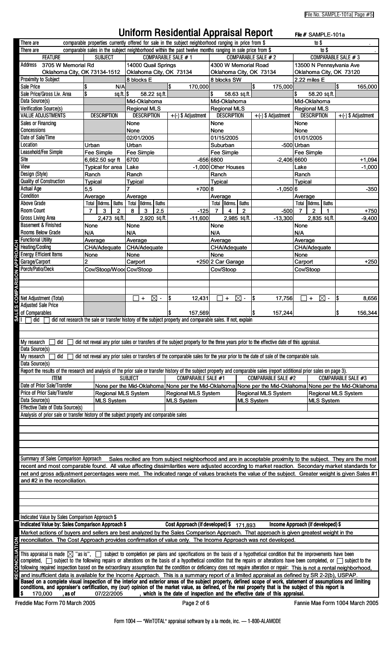File No. SAMPLE-101a Page #5

|                                                                                                                                                                                                                                                         | Uniform Residential Appraisal Report<br>File # SAMPLE-101a |                              |                                                                                                          |                                       |                                                                                                                                        |                                                                                                                    |                            |  |  |  |  |
|---------------------------------------------------------------------------------------------------------------------------------------------------------------------------------------------------------------------------------------------------------|------------------------------------------------------------|------------------------------|----------------------------------------------------------------------------------------------------------|---------------------------------------|----------------------------------------------------------------------------------------------------------------------------------------|--------------------------------------------------------------------------------------------------------------------|----------------------------|--|--|--|--|
| There are                                                                                                                                                                                                                                               |                                                            |                              | comparable properties currently offered for sale in the subject neighborhood ranging in price from \$    |                                       |                                                                                                                                        | to \$                                                                                                              |                            |  |  |  |  |
| There are                                                                                                                                                                                                                                               |                                                            |                              | comparable sales in the subject neighborhood within the past twelve months ranging in sale price from \$ |                                       |                                                                                                                                        | $to$ \$                                                                                                            |                            |  |  |  |  |
| <b>FEATURE</b>                                                                                                                                                                                                                                          | <b>SUBJECT</b>                                             |                              | COMPARABLE SALE #1                                                                                       |                                       | COMPARABLE SALE # 2                                                                                                                    | COMPARABLE SALE # 3                                                                                                |                            |  |  |  |  |
| Address<br>3705 W Memorial Rd                                                                                                                                                                                                                           |                                                            | 14000 Quail Springs          |                                                                                                          | 4300 W Memorial Road                  |                                                                                                                                        | 13500 N Pennsylvania Ave                                                                                           |                            |  |  |  |  |
| Oklahoma City, OK 73134-1512                                                                                                                                                                                                                            |                                                            | Oklahoma City, OK 73134      |                                                                                                          | Oklahoma City, OK 73134               |                                                                                                                                        | Oklahoma City, OK 73120                                                                                            |                            |  |  |  |  |
| Proximity to Subject                                                                                                                                                                                                                                    |                                                            | 8 blocks E                   |                                                                                                          | 8 blocks SW                           |                                                                                                                                        | 2.22 miles E                                                                                                       |                            |  |  |  |  |
| Sale Price                                                                                                                                                                                                                                              | \$<br>N/A                                                  |                              | \$<br>170,000                                                                                            |                                       | l\$<br>175,000                                                                                                                         |                                                                                                                    | \$<br>165,000              |  |  |  |  |
| Sale Price/Gross Liv. Area                                                                                                                                                                                                                              | \$<br>sq.fit.                                              | 58.22 sq.ft.                 |                                                                                                          | \$<br>58.63 sq.ft.                    |                                                                                                                                        | \$<br>58.20 sq.ft.                                                                                                 |                            |  |  |  |  |
| Data Source(s)                                                                                                                                                                                                                                          |                                                            | Mid-Oklahoma                 |                                                                                                          | Mid-Oklahoma                          |                                                                                                                                        | Mid-Oklahoma                                                                                                       |                            |  |  |  |  |
| Verification Source(s)                                                                                                                                                                                                                                  |                                                            | <b>Regional MLS</b>          |                                                                                                          | <b>Regional MLS</b>                   |                                                                                                                                        | <b>Regional MLS</b>                                                                                                |                            |  |  |  |  |
| <b>VALUE ADJUSTMENTS</b>                                                                                                                                                                                                                                | <b>DESCRIPTION</b>                                         | <b>DESCRIPTION</b>           | $+(-)$ \$ Adjustment                                                                                     | <b>DESCRIPTION</b>                    | $+(-)$ \$ Adjustment                                                                                                                   | <b>DESCRIPTION</b>                                                                                                 | $+(-)$ \$ Adjustment       |  |  |  |  |
| Sales or Financing                                                                                                                                                                                                                                      |                                                            | None                         |                                                                                                          | None                                  |                                                                                                                                        | None                                                                                                               |                            |  |  |  |  |
| Concessions                                                                                                                                                                                                                                             |                                                            | None                         |                                                                                                          | None                                  |                                                                                                                                        | None                                                                                                               |                            |  |  |  |  |
| Date of Sale/Time                                                                                                                                                                                                                                       |                                                            | 02/01/2005                   |                                                                                                          | 01/15/2005                            |                                                                                                                                        | 01/01/2005                                                                                                         |                            |  |  |  |  |
| Location                                                                                                                                                                                                                                                | Urban                                                      | Urban                        |                                                                                                          | Suburban                              |                                                                                                                                        | -500 Urban                                                                                                         |                            |  |  |  |  |
| Leasehold/Fee Simple                                                                                                                                                                                                                                    | Fee Simple                                                 | Fee Simple                   |                                                                                                          | Fee Simple                            |                                                                                                                                        | Fee Simple                                                                                                         |                            |  |  |  |  |
| Site                                                                                                                                                                                                                                                    | 6,662.50 sqr ft                                            | 6700                         |                                                                                                          | -656 6800                             | $-2,406 6600$                                                                                                                          |                                                                                                                    | $+1,094$                   |  |  |  |  |
| View                                                                                                                                                                                                                                                    | Typical for area                                           | Lake                         |                                                                                                          | -1,000 Other Houses                   |                                                                                                                                        | Lake                                                                                                               | $-1,000$                   |  |  |  |  |
| Design (Style)                                                                                                                                                                                                                                          | Ranch                                                      | Ranch                        |                                                                                                          | Ranch                                 |                                                                                                                                        | Ranch                                                                                                              |                            |  |  |  |  |
| Quality of Construction                                                                                                                                                                                                                                 | <b>Typical</b>                                             | <b>Typical</b>               |                                                                                                          | Typical                               |                                                                                                                                        | <b>Typical</b>                                                                                                     |                            |  |  |  |  |
| <b>Actual Age</b>                                                                                                                                                                                                                                       | 5,5                                                        | 7                            | $+7008$                                                                                                  |                                       | $-1,050 6$                                                                                                                             |                                                                                                                    | $-350$                     |  |  |  |  |
| Condition                                                                                                                                                                                                                                               | Average                                                    | Average                      |                                                                                                          | Average                               |                                                                                                                                        | Average                                                                                                            |                            |  |  |  |  |
| Above Grade                                                                                                                                                                                                                                             | Total Bdrms.<br><b>Baths</b>                               | Total Bdrms.<br><b>Baths</b> |                                                                                                          | Total   Bdrms.   Baths                |                                                                                                                                        | Total Bdrms.<br><b>Baths</b>                                                                                       |                            |  |  |  |  |
| <b>Room Count</b>                                                                                                                                                                                                                                       | 3<br>$\overline{7}$<br>$\mathbf{2}$                        | 8<br>2.5<br>3                | $-125$                                                                                                   | $\overline{7}$<br>4<br>$\overline{2}$ | $-500$                                                                                                                                 | $\overline{2}$<br>$\overline{7}$                                                                                   | $+750$                     |  |  |  |  |
| <b>Gross Living Area</b>                                                                                                                                                                                                                                | 2,473 sq.ft.                                               | 2,920 sq.ft.                 | $-11,600$                                                                                                | 2,985 sq.ft.                          | $-13,300$                                                                                                                              | 2,835 sq.ft.                                                                                                       | $-9,400$                   |  |  |  |  |
| <b>Basement &amp; Finished</b>                                                                                                                                                                                                                          | None                                                       | None                         |                                                                                                          | None                                  |                                                                                                                                        | None                                                                                                               |                            |  |  |  |  |
| Rooms Below Grade                                                                                                                                                                                                                                       | N/A                                                        | N/A                          |                                                                                                          | N/A                                   |                                                                                                                                        | N/A                                                                                                                |                            |  |  |  |  |
| <b>Functional Utility</b>                                                                                                                                                                                                                               | Average                                                    | Average                      |                                                                                                          | Average                               |                                                                                                                                        | Average                                                                                                            |                            |  |  |  |  |
| Heating/Cooling                                                                                                                                                                                                                                         | CHA/Adequate                                               | CHA/Adequate                 |                                                                                                          | CHA/Adequate                          |                                                                                                                                        | CHA/Adequate                                                                                                       |                            |  |  |  |  |
| <b>Energy Efficient Items</b>                                                                                                                                                                                                                           | None                                                       | None                         |                                                                                                          | None                                  |                                                                                                                                        | None                                                                                                               |                            |  |  |  |  |
| Garage/Carport                                                                                                                                                                                                                                          | $\overline{2}$                                             | Carport                      |                                                                                                          | +250 2 Car Garage                     |                                                                                                                                        | Carport                                                                                                            | $+250$                     |  |  |  |  |
| Porch/Patio/Deck                                                                                                                                                                                                                                        | Cov/Stoop/Wood Cov/Stoop                                   |                              |                                                                                                          | Cov/Stoop                             |                                                                                                                                        | Cov/Stoop                                                                                                          |                            |  |  |  |  |
|                                                                                                                                                                                                                                                         |                                                            |                              |                                                                                                          |                                       |                                                                                                                                        |                                                                                                                    |                            |  |  |  |  |
| <b>ES COMPARISON APPROACH</b>                                                                                                                                                                                                                           |                                                            |                              |                                                                                                          |                                       |                                                                                                                                        |                                                                                                                    |                            |  |  |  |  |
|                                                                                                                                                                                                                                                         |                                                            |                              |                                                                                                          |                                       |                                                                                                                                        |                                                                                                                    |                            |  |  |  |  |
| Net Adjustment (Total)<br><b>Adjusted Sale Price</b>                                                                                                                                                                                                    |                                                            | $\boxtimes$ -<br>$\pm$       | S.<br>12,431                                                                                             | $\boxtimes$ -<br>$\div$               | l\$<br>17,756                                                                                                                          | $\boxtimes$ -<br>$+$                                                                                               | \$<br>8,656                |  |  |  |  |
| of Comparables                                                                                                                                                                                                                                          |                                                            |                              |                                                                                                          |                                       |                                                                                                                                        |                                                                                                                    | \$                         |  |  |  |  |
| <b>INS</b>                                                                                                                                                                                                                                              |                                                            |                              | 157,569                                                                                                  |                                       | 157,244                                                                                                                                |                                                                                                                    | 156,344                    |  |  |  |  |
|                                                                                                                                                                                                                                                         |                                                            |                              |                                                                                                          |                                       |                                                                                                                                        | did not research the sale or transfer history of the subject property and comparable sales. If not, explain<br>did |                            |  |  |  |  |
|                                                                                                                                                                                                                                                         |                                                            |                              |                                                                                                          |                                       |                                                                                                                                        |                                                                                                                    |                            |  |  |  |  |
|                                                                                                                                                                                                                                                         |                                                            |                              |                                                                                                          |                                       |                                                                                                                                        |                                                                                                                    |                            |  |  |  |  |
|                                                                                                                                                                                                                                                         |                                                            |                              |                                                                                                          |                                       |                                                                                                                                        |                                                                                                                    |                            |  |  |  |  |
| My research<br>did                                                                                                                                                                                                                                      |                                                            |                              |                                                                                                          |                                       | did not reveal any prior sales or transfers of the subject property for the three years prior to the effective date of this appraisal. |                                                                                                                    |                            |  |  |  |  |
| Data Source(s)<br>My research<br>did                                                                                                                                                                                                                    |                                                            |                              |                                                                                                          |                                       | did not reveal any prior sales or transfers of the comparable sales for the year prior to the date of sale of the comparable sale.     |                                                                                                                    |                            |  |  |  |  |
| Data Source(s)                                                                                                                                                                                                                                          |                                                            |                              |                                                                                                          |                                       |                                                                                                                                        |                                                                                                                    |                            |  |  |  |  |
| Report the results of the research and analysis of the prior sale or transfer history of the subject property and comparable sales (report additional prior sales on page 3).                                                                           |                                                            |                              |                                                                                                          |                                       |                                                                                                                                        |                                                                                                                    |                            |  |  |  |  |
| <b>ITEM</b>                                                                                                                                                                                                                                             |                                                            | <b>SUBJECT</b>               | COMPARABLE SALE #1                                                                                       |                                       | COMPARABLE SALE #2                                                                                                                     |                                                                                                                    | COMPARABLE SALE #3         |  |  |  |  |
| Date of Prior Sale/Transfer                                                                                                                                                                                                                             |                                                            |                              |                                                                                                          |                                       | None per the Mid-Oklahoma None per the Mid-Oklahoma None per the Mid-Oklahoma None per the Mid-Oklahoma                                |                                                                                                                    |                            |  |  |  |  |
| Price of Prior Sale/Transfer                                                                                                                                                                                                                            | <b>Regional MLS System</b>                                 |                              | Regional MLS System                                                                                      |                                       | Regional MLS System                                                                                                                    |                                                                                                                    | <b>Regional MLS System</b> |  |  |  |  |
| Data Source(s)                                                                                                                                                                                                                                          | <b>MLS System</b>                                          |                              | <b>MLS System</b>                                                                                        |                                       | <b>MLS System</b>                                                                                                                      | <b>MLS System</b>                                                                                                  |                            |  |  |  |  |
| <b>Effective Date of Data Source(s)</b>                                                                                                                                                                                                                 |                                                            |                              |                                                                                                          |                                       |                                                                                                                                        |                                                                                                                    |                            |  |  |  |  |
| Analysis of prior sale or transfer history of the subject property and comparable sales                                                                                                                                                                 |                                                            |                              |                                                                                                          |                                       |                                                                                                                                        |                                                                                                                    |                            |  |  |  |  |
|                                                                                                                                                                                                                                                         |                                                            |                              |                                                                                                          |                                       |                                                                                                                                        |                                                                                                                    |                            |  |  |  |  |
|                                                                                                                                                                                                                                                         |                                                            |                              |                                                                                                          |                                       |                                                                                                                                        |                                                                                                                    |                            |  |  |  |  |
|                                                                                                                                                                                                                                                         |                                                            |                              |                                                                                                          |                                       |                                                                                                                                        |                                                                                                                    |                            |  |  |  |  |
|                                                                                                                                                                                                                                                         |                                                            |                              |                                                                                                          |                                       |                                                                                                                                        |                                                                                                                    |                            |  |  |  |  |
|                                                                                                                                                                                                                                                         |                                                            |                              |                                                                                                          |                                       |                                                                                                                                        |                                                                                                                    |                            |  |  |  |  |
| Summary of Sales Comparison Approach                                                                                                                                                                                                                    |                                                            |                              |                                                                                                          |                                       | Sales recited are from subject neighborhood and are in acceptable proximity to the subject. They are the most                          |                                                                                                                    |                            |  |  |  |  |
| recent and most comparable found. All value affecting dissimilarities were adjusted according to market reaction. Secondary market standards for                                                                                                        |                                                            |                              |                                                                                                          |                                       |                                                                                                                                        |                                                                                                                    |                            |  |  |  |  |
| net and gross adjustment percentages were met. The indicated range of values brackets the value of the subject. Greater weight is given Sales #1                                                                                                        |                                                            |                              |                                                                                                          |                                       |                                                                                                                                        |                                                                                                                    |                            |  |  |  |  |
| and #2 in the reconciliation.                                                                                                                                                                                                                           |                                                            |                              |                                                                                                          |                                       |                                                                                                                                        |                                                                                                                    |                            |  |  |  |  |
|                                                                                                                                                                                                                                                         |                                                            |                              |                                                                                                          |                                       |                                                                                                                                        |                                                                                                                    |                            |  |  |  |  |
|                                                                                                                                                                                                                                                         |                                                            |                              |                                                                                                          |                                       |                                                                                                                                        |                                                                                                                    |                            |  |  |  |  |
|                                                                                                                                                                                                                                                         |                                                            |                              |                                                                                                          |                                       |                                                                                                                                        |                                                                                                                    |                            |  |  |  |  |
| Indicated Value by Sales Comparison Approach \$                                                                                                                                                                                                         |                                                            |                              |                                                                                                          |                                       |                                                                                                                                        |                                                                                                                    |                            |  |  |  |  |
|                                                                                                                                                                                                                                                         |                                                            |                              | Cost Approach (if developed) \$171,893                                                                   |                                       |                                                                                                                                        | Income Approach (if developed) \$                                                                                  |                            |  |  |  |  |
| Indicated Value by: Sales Comparison Approach \$                                                                                                                                                                                                        |                                                            |                              |                                                                                                          |                                       |                                                                                                                                        |                                                                                                                    |                            |  |  |  |  |
| Market actions of buyers and sellers are best analyzed by the Sales Comparison Approach. That approach is given greatest weight in the<br>reconciliation. The Cost Approach provides confirmation of value only. The Income Approach was not developed. |                                                            |                              |                                                                                                          |                                       |                                                                                                                                        |                                                                                                                    |                            |  |  |  |  |
|                                                                                                                                                                                                                                                         |                                                            |                              |                                                                                                          |                                       |                                                                                                                                        |                                                                                                                    |                            |  |  |  |  |
| This appraisal is made $\boxtimes$ "as is", $\Box$ subject to completion per plans and specifications on the basis of a hypothetical condition that the improvements have been                                                                          |                                                            |                              |                                                                                                          |                                       |                                                                                                                                        |                                                                                                                    |                            |  |  |  |  |
| completed, $\Box$ subject to the following repairs or alterations on the basis of a hypothetical condition that the repairs or alterations have been completed, or $\Box$ subject to the                                                                |                                                            |                              |                                                                                                          |                                       |                                                                                                                                        |                                                                                                                    |                            |  |  |  |  |
| following required inspection based on the extraordinary assumption that the condition or deficiency does not require alteration or repair: This is not a rental neighborhood,                                                                          |                                                            |                              |                                                                                                          |                                       |                                                                                                                                        |                                                                                                                    |                            |  |  |  |  |
| RECONCILIATION<br>and insufficient data is available for the Income Approach. This is a summary report of a limited appraisal as defined by SR 2-2(b), USPAP.                                                                                           |                                                            |                              |                                                                                                          |                                       |                                                                                                                                        |                                                                                                                    |                            |  |  |  |  |
|                                                                                                                                                                                                                                                         |                                                            |                              |                                                                                                          |                                       |                                                                                                                                        |                                                                                                                    |                            |  |  |  |  |
| Based on a complete visual inspection of the interior and exterior areas of the subject property, defined scope of work, statement of assumptions and limiting conditions, and appraiser's certification, my (our) opinion of<br>170,000<br>as of       | 07/22/2005                                                 |                              |                                                                                                          |                                       | which is the date of inspection and the effective date of this appraisal.                                                              |                                                                                                                    |                            |  |  |  |  |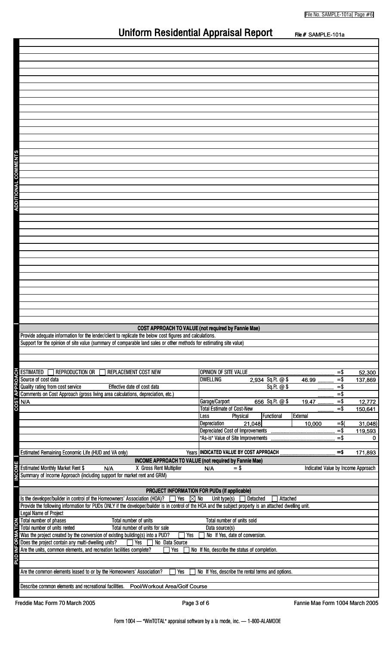File # SAMPLE-101a

| Uniform Residential Appraisal Report | File # |
|--------------------------------------|--------|
|--------------------------------------|--------|

| <b>ADDITIONAL COMMENTS</b> |                                                                                                                                                                                          |                                                            |          |                   |                                    |
|----------------------------|------------------------------------------------------------------------------------------------------------------------------------------------------------------------------------------|------------------------------------------------------------|----------|-------------------|------------------------------------|
|                            |                                                                                                                                                                                          |                                                            |          |                   |                                    |
|                            |                                                                                                                                                                                          |                                                            |          |                   |                                    |
|                            |                                                                                                                                                                                          |                                                            |          |                   |                                    |
|                            |                                                                                                                                                                                          |                                                            |          |                   |                                    |
|                            |                                                                                                                                                                                          |                                                            |          |                   |                                    |
|                            |                                                                                                                                                                                          |                                                            |          |                   |                                    |
|                            |                                                                                                                                                                                          |                                                            |          |                   |                                    |
|                            |                                                                                                                                                                                          |                                                            |          |                   |                                    |
|                            |                                                                                                                                                                                          |                                                            |          |                   |                                    |
|                            |                                                                                                                                                                                          |                                                            |          |                   |                                    |
|                            |                                                                                                                                                                                          |                                                            |          |                   |                                    |
|                            |                                                                                                                                                                                          |                                                            |          |                   |                                    |
|                            |                                                                                                                                                                                          |                                                            |          |                   |                                    |
|                            |                                                                                                                                                                                          |                                                            |          |                   |                                    |
|                            |                                                                                                                                                                                          |                                                            |          |                   |                                    |
|                            | COST APPROACH TO VALUE (not required by Fannie Mae)                                                                                                                                      |                                                            |          |                   |                                    |
|                            | Provide adequate information for the lender/client to replicate the below cost figures and calculations.                                                                                 |                                                            |          |                   |                                    |
|                            | Support for the opinion of site value (summary of comparable land sales or other methods for estimating site value)                                                                      |                                                            |          |                   |                                    |
|                            |                                                                                                                                                                                          |                                                            |          |                   |                                    |
|                            |                                                                                                                                                                                          |                                                            |          |                   |                                    |
|                            | <b>REPRODUCTION OR</b><br><b>ESTIMATED</b><br>REPLACEMENT COST NEW                                                                                                                       | OPINION OF SITE VALUE                                      |          | $=$ \$            | 52,300                             |
|                            | Source of cost data                                                                                                                                                                      | <b>DWELLING</b><br>2,934 Sq.Ft. @\$                        | 46.99    | $=$ \$            | 137,869                            |
|                            | Quality rating from cost service<br>Effective date of cost data                                                                                                                          | Sq.Ft. $@$ \$                                              |          | $=$ \$            |                                    |
|                            | Comments on Cost Approach (gross living area calculations, depreciation, etc.)                                                                                                           |                                                            |          | $=$ \$            |                                    |
|                            | N/A                                                                                                                                                                                      | Garage/Carport<br>656 Sq.Ft. @\$                           | 19.47    | $=$ \$            | 12,772                             |
| COST APPROACH              |                                                                                                                                                                                          | <b>Total Estimate of Cost-New</b>                          |          | $=$ \$            | 150,641                            |
|                            |                                                                                                                                                                                          | Functional<br>Physical<br>Less                             | External |                   |                                    |
|                            |                                                                                                                                                                                          | Depreciation<br>21,048<br>Depreciated Cost of Improvements | 10,000   | $=$ \$(<br>$=$ \$ | 31,048)<br>119,593                 |
|                            |                                                                                                                                                                                          | "As-is" Value of Site Improvements                         |          | $=$ \$            | 0                                  |
|                            |                                                                                                                                                                                          |                                                            |          |                   |                                    |
|                            | Estimated Remaining Economic Life (HUD and VA only)                                                                                                                                      |                                                            |          | $=$               | 171,893                            |
|                            | INCOME APPROACH TO VALUE (not required by Fannie Mae)                                                                                                                                    |                                                            |          |                   |                                    |
|                            | <b>Estimated Monthly Market Rent \$</b><br>X Gross Rent Multiplier<br>N/A                                                                                                                | $=$ \$<br>N/A                                              |          |                   | Indicated Value by Income Approach |
|                            | Summary of Income Approach (including support for market rent and GRM)                                                                                                                   |                                                            |          |                   |                                    |
| <b>INCOME</b>              |                                                                                                                                                                                          |                                                            |          |                   |                                    |
|                            | <b>PROJECT INFORMATION FOR PUDs (if applicable)</b>                                                                                                                                      |                                                            |          |                   |                                    |
|                            | Is the developer/builder in control of the Homeowners' Association (HOA)?<br>Yes<br>$\boxtimes$ No                                                                                       | Unit type(s)<br>Detached<br>Attached                       |          |                   |                                    |
|                            | Provide the following information for PUDs ONLY if the developer/builder is in control of the HOA and the subject property is an attached dwelling unit.<br><b>Legal Name of Project</b> |                                                            |          |                   |                                    |
|                            | Total number of phases<br>Total number of units                                                                                                                                          | Total number of units sold                                 |          |                   |                                    |
|                            | Total number of units rented<br>Total number of units for sale                                                                                                                           | Data source(s)                                             |          |                   |                                    |
|                            | Was the project created by the conversion of existing building(s) into a PUD?<br>Yes                                                                                                     | No If Yes, date of conversion.                             |          |                   |                                    |
|                            | Does the project contain any multi-dwelling units?<br>Yes<br>No Data Source                                                                                                              |                                                            |          |                   |                                    |
|                            | Are the units, common elements, and recreation facilities complete?<br>Yes                                                                                                               | No If No, describe the status of completion.               |          |                   |                                    |
| PUD INFORMATION            |                                                                                                                                                                                          |                                                            |          |                   |                                    |
|                            |                                                                                                                                                                                          |                                                            |          |                   |                                    |
|                            | Are the common elements leased to or by the Homeowners' Association?<br>Yes                                                                                                              | No If Yes, describe the rental terms and options.          |          |                   |                                    |
|                            | Describe common elements and recreational facilities.<br>Pool/Workout Area/Golf Course                                                                                                   |                                                            |          |                   |                                    |

Freddie Mac Form 70 March 2005 **Page 3 of 6** Page 3 of 6 Fannie Mae Form 1004 March 2005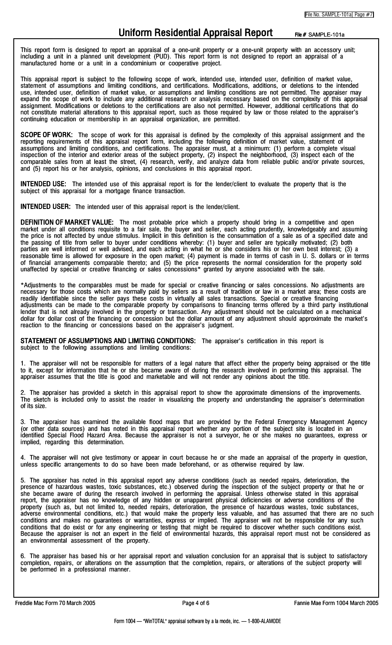This report form is designed to report an appraisal of a one-unit property or a one-unit property with an accessory unit; including a unit in a planned unit development (PUD). This report form is not designed to report an appraisal of a manufactured home or a unit in a condominium or cooperative project.

This appraisal report is subject to the following scope of work, intended use, intended user, definition of market value, statement of assumptions and limiting conditions, and certifications. Modifications, additions, or deletions to the intended use, intended user, definition of market value, or assumptions and limiting conditions are not permitted. The appraiser may expand the scope of work to include any additional research or analysis necessary based on the complexity of this appraisal assignment. Modifications or deletions to the certifications are also not permitted. However, additional certifications that do not constitute material alterations to this appraisal report, such as those required by law or those related to the appraiser's continuing education or membership in an appraisal organization, are permitted.

SCOPE OF WORK: The scope of work for this appraisal is defined by the complexity of this appraisal assignment and the reporting requirements of this appraisal report form, including the following definition of market value, statement of assumptions and limiting conditions, and certifications. The appraiser must, at a minimum: (1) perform a complete visual inspection of the interior and exterior areas of the subject property, (2) inspect the neighborhood, (3) inspect each of the comparable sales from at least the street, (4) research, verify, and analyze data from reliable public and/or private sources, and (5) report his or her analysis, opinions, and conclusions in this appraisal report.

INTENDED USE: The intended use of this appraisal report is for the lender/client to evaluate the property that is the subject of this appraisal for a mortgage finance transaction.

INTENDED USER: The intended user of this appraisal report is the lender/client.

DEFINITION OF MARKET VALUE: The most probable price which a property should bring in a competitive and open market under all conditions requisite to a fair sale, the buyer and seller, each acting prudently, knowledgeably and assuming the price is not affected by undue stimulus. Implicit in this definition is the consummation of a sale as of a specified date and the passing of title from seller to buyer under conditions whereby: (1) buyer and seller are typically motivated; (2) both parties are well informed or well advised, and each acting in what he or she considers his or her own best interest; (3) a reasonable time is allowed for exposure in the open market; (4) payment is made in terms of cash in U. S. dollars or in terms of financial arrangements comparable thereto; and (5) the price represents the normal consideration for the property sold unaffected by special or creative financing or sales concessions\* granted by anyone associated with the sale.

\*Adjustments to the comparables must be made for special or creative financing or sales concessions. No adjustments are necessary for those costs which are normally paid by sellers as a result of tradition or law in a market area; these costs are readily identifiable since the seller pays these costs in virtually all sales transactions. Special or creative financing adjustments can be made to the comparable property by comparisons to financing terms offered by a third party institutional lender that is not already involved in the property or transaction. Any adjustment should not be calculated on a mechanical dollar for dollar cost of the financing or concession but the dollar amount of any adjustment should approximate the market's reaction to the financing or concessions based on the appraiser's judgment.

STATEMENT OF ASSUMPTIONS AND LIMITING CONDITIONS: The appraiser's certification in this report is subject to the following assumptions and limiting conditions:

1. The appraiser will not be responsible for matters of a legal nature that affect either the property being appraised or the title to it, except for information that he or she became aware of during the research involved in performing this appraisal. The appraiser assumes that the title is good and marketable and will not render any opinions about the title.

2. The appraiser has provided a sketch in this appraisal report to show the approximate dimensions of the improvements. The sketch is included only to assist the reader in visualizing the property and understanding the appraiser's determination of its size.

3. The appraiser has examined the available flood maps that are provided by the Federal Emergency Management Agency (or other data sources) and has noted in this appraisal report whether any portion of the subject site is located in an identified Special Flood Hazard Area. Because the appraiser is not a surveyor, he or she makes no guarantees, express or implied, regarding this determination.

4. The appraiser will not give testimony or appear in court because he or she made an appraisal of the property in question, unless specific arrangements to do so have been made beforehand, or as otherwise required by law.

5. The appraiser has noted in this appraisal report any adverse conditions (such as needed repairs, deterioration, the presence of hazardous wastes, toxic substances, etc.) observed during the inspection of the subject property or that he or she became aware of during the research involved in performing the appraisal. Unless otherwise stated in this appraisal report, the appraiser has no knowledge of any hidden or unapparent physical deficiencies or adverse conditions of the property (such as, but not limited to, needed repairs, deterioration, the presence of hazardous wastes, toxic substances, adverse environmental conditions, etc.) that would make the property less valuable, and has assumed that there are no such conditions and makes no guarantees or warranties, express or implied. The appraiser will not be responsible for any such conditions that do exist or for any engineering or testing that might be required to discover whether such conditions exist. Because the appraiser is not an expert in the field of environmental hazards, this appraisal report must not be considered as an environmental assessment of the property.

6. The appraiser has based his or her appraisal report and valuation conclusion for an appraisal that is subject to satisfactory completion, repairs, or alterations on the assumption that the completion, repairs, or alterations of the subject property will be performed in a professional manner.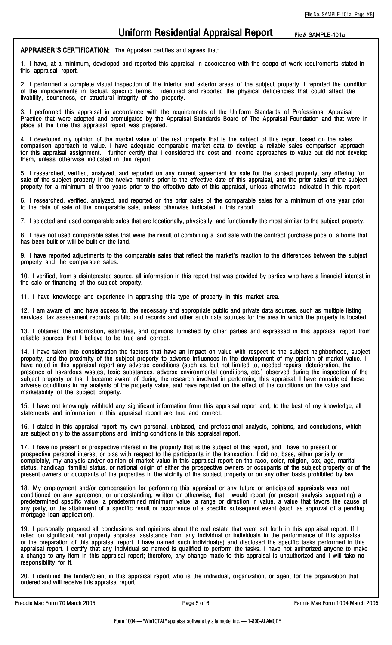#### Uniform Residential Appraisal Report **File #** File # SAMPLE-101a

# APPRAISER'S CERTIFICATION: The Appraiser certifies and agrees that:

1. I have, at a minimum, developed and reported this appraisal in accordance with the scope of work requirements stated in this appraisal report.

2. I performed a complete visual inspection of the interior and exterior areas of the subject property. I reported the condition of the improvements in factual, specific terms. I identified and reported the physical deficiencies that could affect the livability, soundness, or structural integrity of the property.

3. I performed this appraisal in accordance with the requirements of the Uniform Standards of Professional Appraisal Practice that were adopted and promulgated by the Appraisal Standards Board of The Appraisal Foundation and that were in place at the time this appraisal report was prepared.

4. I developed my opinion of the market value of the real property that is the subject of this report based on the sales comparison approach to value. I have adequate comparable market data to develop a reliable sales comparison approach for this appraisal assignment. I further certify that I considered the cost and income approaches to value but did not develop them, unless otherwise indicated in this report.

5. I researched, verified, analyzed, and reported on any current agreement for sale for the subject property, any offering for sale of the subject property in the twelve months prior to the effective date of this appraisal, and the prior sales of the subject property for a minimum of three years prior to the effective date of this appraisal, unless otherwise indicated in this report.

6. I researched, verified, analyzed, and reported on the prior sales of the comparable sales for a minimum of one year prior to the date of sale of the comparable sale, unless otherwise indicated in this report.

7. I selected and used comparable sales that are locationally, physically, and functionally the most similar to the subject property.

8. I have not used comparable sales that were the result of combining a land sale with the contract purchase price of a home that has been built or will be built on the land.

9. I have reported adjustments to the comparable sales that reflect the market's reaction to the differences between the subject property and the comparable sales.

10. I verified, from a disinterested source, all information in this report that was provided by parties who have a financial interest in the sale or financing of the subject property.

11. I have knowledge and experience in appraising this type of property in this market area.

12. I am aware of, and have access to, the necessary and appropriate public and private data sources, such as multiple listing services, tax assessment records, public land records and other such data sources for the area in which the property is located.

13. I obtained the information, estimates, and opinions furnished by other parties and expressed in this appraisal report from reliable sources that I believe to be true and correct.

14. I have taken into consideration the factors that have an impact on value with respect to the subject neighborhood, subject property, and the proximity of the subject property to adverse influences in the development of my opinion of market value. I have noted in this appraisal report any adverse conditions (such as, but not limited to, needed repairs, deterioration, the presence of hazardous wastes, toxic substances, adverse environmental conditions, etc.) observed during the inspection of the subject property or that I became aware of during the research involved in performing this appraisal. I have considered these adverse conditions in my analysis of the property value, and have reported on the effect of the conditions on the value and marketability of the subject property.

15. I have not knowingly withheld any significant information from this appraisal report and, to the best of my knowledge, all statements and information in this appraisal report are true and correct.

16. I stated in this appraisal report my own personal, unbiased, and professional analysis, opinions, and conclusions, which are subject only to the assumptions and limiting conditions in this appraisal report.

17. I have no present or prospective interest in the property that is the subject of this report, and I have no present or prospective personal interest or bias with respect to the participants in the transaction. I did not base, either partially or completely, my analysis and/or opinion of market value in this appraisal report on the race, color, religion, sex, age, marital status, handicap, familial status, or national origin of either the prospective owners or occupants of the subject property or of the present owners or occupants of the properties in the vicinity of the subject property or on any other basis prohibited by law.

18. My employment and/or compensation for performing this appraisal or any future or anticipated appraisals was not conditioned on any agreement or understanding, written or otherwise, that I would report (or present analysis supporting) a predetermined specific value, a predetermined minimum value, a range or direction in value, a value that favors the cause of any party, or the attainment of a specific result or occurrence of a specific subsequent event (such as approval of a pending mortgage loan application).

19. I personally prepared all conclusions and opinions about the real estate that were set forth in this appraisal report. If I relied on significant real property appraisal assistance from any individual or individuals in the performance of this appraisal or the preparation of this appraisal report, I have named such individual(s) and disclosed the specific tasks performed in this appraisal report. I certify that any individual so named is qualified to perform the tasks. I have not authorized anyone to make a change to any item in this appraisal report; therefore, any change made to this appraisal is unauthorized and I will take no responsibility for it.

20. I identified the lender/client in this appraisal report who is the individual, organization, or agent for the organization that ordered and will receive this appraisal report.